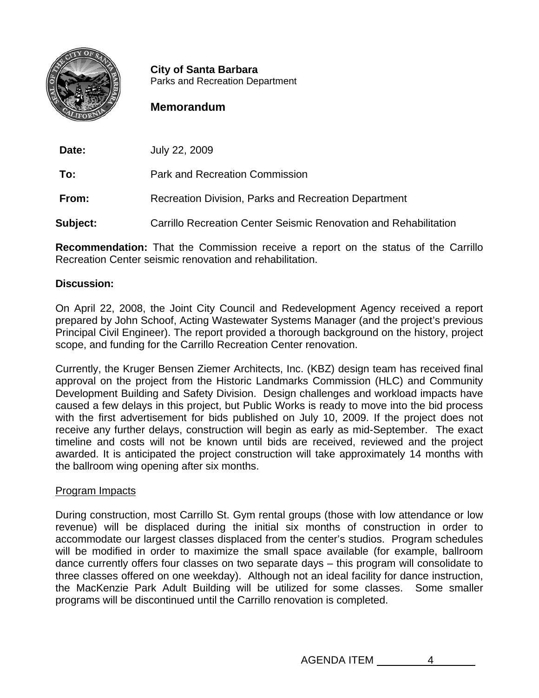

**City of Santa Barbara**<br>Parks and Recreation Department

## **Memorandum**

**Date:** July 22, 2009

**To:** Park and Recreation Commission

**From:** Recreation Division, Parks and Recreation Department

**Subject:** Carrillo Recreation Center Seismic Renovation and Rehabilitation

**Recommendation:** That the Commission receive a report on the status of the Carrillo Recreation Center seismic renovation and rehabilitation.

## **Discussion:**

On April 22, 2008, the Joint City Council and Redevelopment Agency received a report prepared by John Schoof, Acting Wastewater Systems Manager (and the project's previous Principal Civil Engineer). The report provided a thorough background on the history, project scope, and funding for the Carrillo Recreation Center renovation.

Currently, the Kruger Bensen Ziemer Architects, Inc. (KBZ) design team has received final approval on the project from the Historic Landmarks Commission (HLC) and Community Development Building and Safety Division. Design challenges and workload impacts have caused a few delays in this project, but Public Works is ready to move into the bid process with the first advertisement for bids published on July 10, 2009. If the project does not receive any further delays, construction will begin as early as mid-September. The exact timeline and costs will not be known until bids are received, reviewed and the project awarded. It is anticipated the project construction will take approximately 14 months with the ballroom wing opening after six months.

## Program Impacts

During construction, most Carrillo St. Gym rental groups (those with low attendance or low revenue) will be displaced during the initial six months of construction in order to accommodate our largest classes displaced from the center's studios. Program schedules will be modified in order to maximize the small space available (for example, ballroom dance currently offers four classes on two separate days – this program will consolidate to three classes offered on one weekday). Although not an ideal facility for dance instruction, the MacKenzie Park Adult Building will be utilized for some classes. Some smaller programs will be discontinued until the Carrillo renovation is completed.